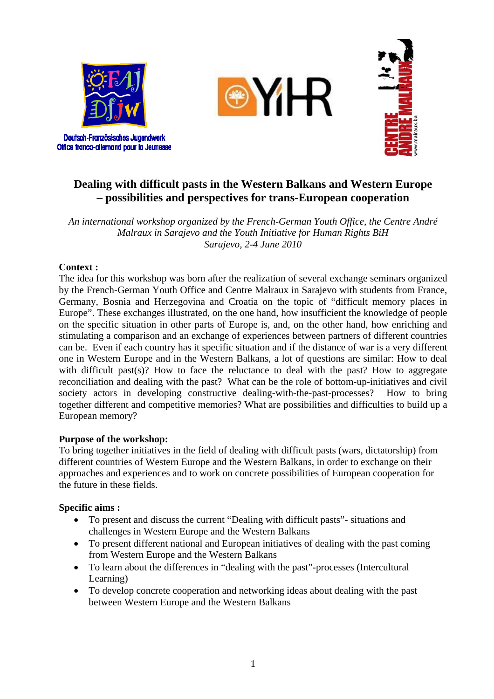

Deutsch-Französisches Jugendwerk Office franco-allemand pour la Jeunesse





# **Dealing with difficult pasts in the Western Balkans and Western Europe – possibilities and perspectives for trans-European cooperation**

*An international workshop organized by the French-German Youth Office, the Centre André Malraux in Sarajevo and the Youth Initiative for Human Rights BiH Sarajevo, 2-4 June 2010* 

## **Context :**

The idea for this workshop was born after the realization of several exchange seminars organized by the French-German Youth Office and Centre Malraux in Sarajevo with students from France, Germany, Bosnia and Herzegovina and Croatia on the topic of "difficult memory places in Europe". These exchanges illustrated, on the one hand, how insufficient the knowledge of people on the specific situation in other parts of Europe is, and, on the other hand, how enriching and stimulating a comparison and an exchange of experiences between partners of different countries can be. Even if each country has it specific situation and if the distance of war is a very different one in Western Europe and in the Western Balkans, a lot of questions are similar: How to deal with difficult past(s)? How to face the reluctance to deal with the past? How to aggregate reconciliation and dealing with the past? What can be the role of bottom-up-initiatives and civil society actors in developing constructive dealing-with-the-past-processes? How to bring together different and competitive memories? What are possibilities and difficulties to build up a European memory?

## **Purpose of the workshop:**

To bring together initiatives in the field of dealing with difficult pasts (wars, dictatorship) from different countries of Western Europe and the Western Balkans, in order to exchange on their approaches and experiences and to work on concrete possibilities of European cooperation for the future in these fields.

## **Specific aims :**

- To present and discuss the current "Dealing with difficult pasts"- situations and challenges in Western Europe and the Western Balkans
- To present different national and European initiatives of dealing with the past coming from Western Europe and the Western Balkans
- To learn about the differences in "dealing with the past"-processes (Intercultural Learning)
- To develop concrete cooperation and networking ideas about dealing with the past between Western Europe and the Western Balkans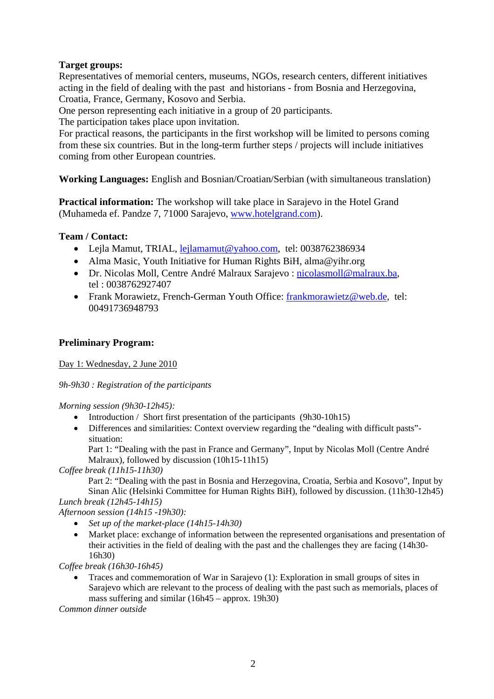## **Target groups:**

Representatives of memorial centers, museums, NGOs, research centers, different initiatives acting in the field of dealing with the past and historians - from Bosnia and Herzegovina, Croatia, France, Germany, Kosovo and Serbia.

One person representing each initiative in a group of 20 participants.

The participation takes place upon invitation.

For practical reasons, the participants in the first workshop will be limited to persons coming from these six countries. But in the long-term further steps / projects will include initiatives coming from other European countries.

**Working Languages:** English and Bosnian/Croatian/Serbian (with simultaneous translation)

**Practical information:** The workshop will take place in Sarajevo in the Hotel Grand (Muhameda ef. Pandze 7, 71000 Sarajevo, www.hotelgrand.com).

## **Team / Contact:**

- Lejla Mamut, TRIAL, lejlamamut@yahoo.com, tel: 0038762386934
- Alma Masic, Youth Initiative for Human Rights BiH, alma@yihr.org
- Dr. Nicolas Moll, Centre André Malraux Sarajevo : nicolasmoll@malraux.ba, tel : 0038762927407
- Frank Morawietz, French-German Youth Office: frankmorawietz@web.de, tel: 00491736948793

### **Preliminary Program:**

Day 1: Wednesday, 2 June 2010

*9h-9h30 : Registration of the participants* 

*Morning session (9h30-12h45):* 

- Introduction / Short first presentation of the participants (9h30-10h15)
- Differences and similarities: Context overview regarding the "dealing with difficult pasts"situation:

Part 1: "Dealing with the past in France and Germany", Input by Nicolas Moll (Centre André Malraux), followed by discussion (10h15-11h15)

*Coffee break (11h15-11h30)* 

Part 2: "Dealing with the past in Bosnia and Herzegovina, Croatia, Serbia and Kosovo", Input by Sinan Alic (Helsinki Committee for Human Rights BiH), followed by discussion. (11h30-12h45)

*Lunch break (12h45-14h15) Afternoon session (14h15 -19h30):* 

- *Set up of the market-place (14h15-14h30)*
- Market place: exchange of information between the represented organisations and presentation of their activities in the field of dealing with the past and the challenges they are facing (14h30- 16h30)

*Coffee break (16h30-16h45)* 

• Traces and commemoration of War in Sarajevo (1): Exploration in small groups of sites in Sarajevo which are relevant to the process of dealing with the past such as memorials, places of mass suffering and similar (16h45 – approx. 19h30)

*Common dinner outside*